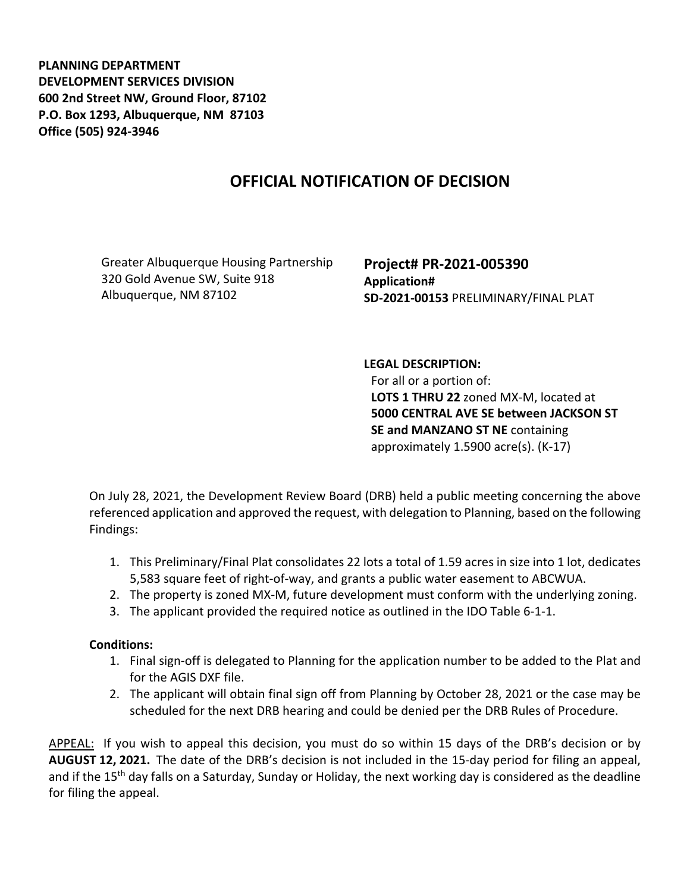**PLANNING DEPARTMENT DEVELOPMENT SERVICES DIVISION 600 2nd Street NW, Ground Floor, 87102 P.O. Box 1293, Albuquerque, NM 87103 Office (505) 924-3946** 

## **OFFICIAL NOTIFICATION OF DECISION**

Greater Albuquerque Housing Partnership 320 Gold Avenue SW, Suite 918 Albuquerque, NM 87102

**Project# PR-2021-005390 Application# SD-2021-00153** PRELIMINARY/FINAL PLAT

## **LEGAL DESCRIPTION:**

For all or a portion of: **LOTS 1 THRU 22** zoned MX-M, located at **5000 CENTRAL AVE SE between JACKSON ST SE and MANZANO ST NE** containing approximately 1.5900 acre(s). (K-17)

On July 28, 2021, the Development Review Board (DRB) held a public meeting concerning the above referenced application and approved the request, with delegation to Planning, based on the following Findings:

- 1. This Preliminary/Final Plat consolidates 22 lots a total of 1.59 acres in size into 1 lot, dedicates 5,583 square feet of right-of-way, and grants a public water easement to ABCWUA.
- 2. The property is zoned MX-M, future development must conform with the underlying zoning.
- 3. The applicant provided the required notice as outlined in the IDO Table 6-1-1.

## **Conditions:**

- 1. Final sign-off is delegated to Planning for the application number to be added to the Plat and for the AGIS DXF file.
- 2. The applicant will obtain final sign off from Planning by October 28, 2021 or the case may be scheduled for the next DRB hearing and could be denied per the DRB Rules of Procedure.

APPEAL: If you wish to appeal this decision, you must do so within 15 days of the DRB's decision or by **AUGUST 12, 2021.** The date of the DRB's decision is not included in the 15-day period for filing an appeal, and if the 15<sup>th</sup> day falls on a Saturday, Sunday or Holiday, the next working day is considered as the deadline for filing the appeal.